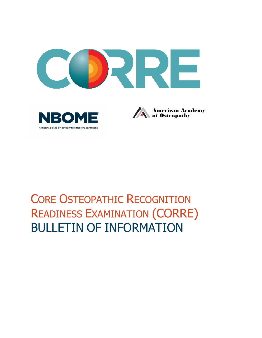

# CORE OSTEOPATHIC RECOGNITION READINESS EXAMINATION (CORRE) BULLETIN OF INFORMATION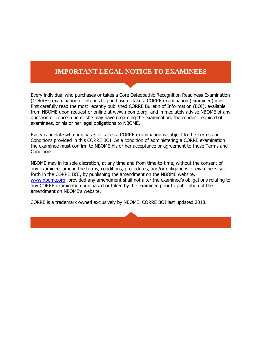## **EXAMINEES** IMPORTANT LEGAL NOTICE TO EXAMINEES

Every individual who purchases or takes a Core Osteopathic Recognition Readiness Examination (CORRE<sup>1</sup>) examination or intends to purchase or take a CORRE examination (examinee) must first carefully read the most recently published CORRE Bulletin of Information (BOI), available from NBOME upon request or online at www.nbome.org, and immediately advise NBOME of any question or concern he or she may have regarding the examination, the conduct required of examinees, or his or her legal obligations to NBOME.

Every candidate who purchases or takes a CORRE examination is subject to the Terms and Conditions provided in this CORRE BOI. As a condition of administering a CORRE examination the examinee must confirm to NBOME his or her acceptance or agreement to those Terms and Conditions.

NBOME may in its sole discretion, at any time and from time-to-time, without the consent of any examinee, amend the terms, conditions, procedures, and/or obligations of examinees set forth in the CORRE BOI, by publishing the amendment on the NBOME website, [www.nbome.org;](http://www.nbome.org/) provided any amendment shall not alter the examinee's obligations relating to any CORRE examination purchased or taken by the examinee prior to publication of the amendment on NBOME's website.

CORRE is a trademark owned exclusively by NBOME. CORRE BOI last updated 2018.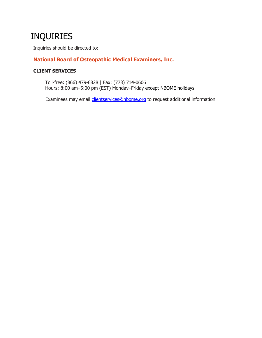# INQUIRIES

Inquiries should be directed to:

### **National Board of Osteopathic Medical Examiners, Inc.**

#### **CLIENT SERVICES**

Toll-free: (866) 479-6828 | Fax: (773) 714-0606 Hours: 8:00 am–5:00 pm (EST) Monday–Friday except NBOME holidays

Examinees may email *clientservices@nbome.org* to request additional information.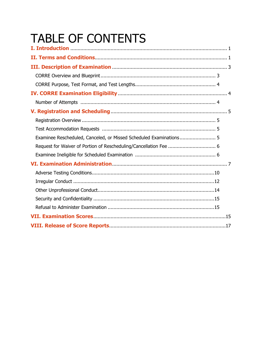# **TABLE OF CONTENTS**

| Examinee Rescheduled, Canceled, or Missed Scheduled Examinations 5 |
|--------------------------------------------------------------------|
|                                                                    |
|                                                                    |
|                                                                    |
|                                                                    |
|                                                                    |
|                                                                    |
|                                                                    |
|                                                                    |
|                                                                    |
|                                                                    |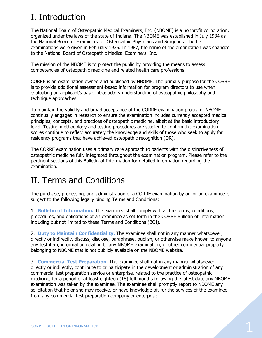# <span id="page-4-0"></span>I. Introduction

The National Board of Osteopathic Medical Examiners, Inc. (NBOME) is a nonprofit corporation, organized under the laws of the state of Indiana. The NBOME was established in July 1934 as the National Board of Examiners for Osteopathic Physicians and Surgeons. The first examinations were given in February 1935. In 1987, the name of the organization was changed to the National Board of Osteopathic Medical Examiners, Inc.

The mission of the NBOME is to protect the public by providing the means to assess competencies of osteopathic medicine and related health care professions.

CORRE is an examination owned and published by NBOME. The primary purpose for the CORRE is to provide additional assessment-based information for program directors to use when evaluating an applicant's basic introductory understanding of osteopathic philosophy and technique approaches.

To maintain the validity and broad acceptance of the CORRE examination program, NBOME continually engages in research to ensure the examination includes currently accepted medical principles, concepts, and practices of osteopathic medicine, albeit at the basic introductory level. Testing methodology and testing procedures are studied to confirm the examination scores continue to reflect accurately the knowledge and skills of those who seek to apply for residency programs that have achieved osteopathic recognition (OR).

The CORRE examination uses a primary care approach to patients with the distinctiveness of osteopathic medicine fully integrated throughout the examination program. Please refer to the pertinent sections of this Bulletin of Information for detailed information regarding the examination.

# <span id="page-4-1"></span>II. Terms and Conditions

The purchase, processing, and administration of a CORRE examination by or for an examinee is subject to the following legally binding Terms and Conditions:

1. **Bulletin of Information.** The examinee shall comply with all the terms, conditions, procedures, and obligations of an examinee as set forth in the CORRE Bulletin of Information including but not limited to these Terms and Conditions (BOI).

2. **Duty to Maintain Confidentiality.** The examinee shall not in any manner whatsoever, directly or indirectly, discuss, disclose, paraphrase, publish, or otherwise make known to anyone any test item, information relating to any NBOME examination, or other confidential property belonging to NBOME that is not publicly available on the NBOME website.

3. **Commercial Test Preparation.** The examinee shall not in any manner whatsoever, directly or indirectly, contribute to or participate in the development or administration of any commercial test preparation service or enterprise, related to the practice of osteopathic medicine, for a period of at least eighteen (18) full months following the latest date any NBOME examination was taken by the examinee. The examinee shall promptly report to NBOME any solicitation that he or she may receive, or have knowledge of, for the services of the examinee from any commercial test preparation company or enterprise.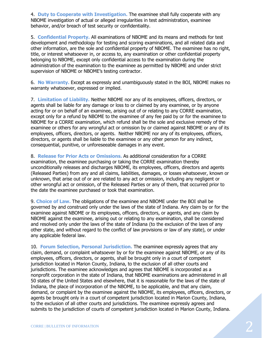4. **Duty to Cooperate with Investigation.** The examinee shall fully cooperate with any NBOME investigation of actual or alleged irregularities in test administration, examinee behavior, and/or breach of test security or confidentiality.

5. **Confidential Property.** All examinations of NBOME and its means and methods for test development and methodology for testing and scoring examinations, and all related data and other information, are the sole and confidential property of NBOME. The examinee has no right, title, or interest whatsoever in, or access to, any examination or other confidential property belonging to NBOME, except only confidential access to the examination during the administration of the examination to the examinee as permitted by NBOME and under strict supervision of NBOME or NBOME's testing contractor.

6. **No Warranty.** Except as expressly and unambiguously stated in the BOI, NBOME makes no warranty whatsoever, expressed or implied.

7. **Limitation of Liability.** Neither NBOME nor any of its employees, officers, directors, or agents shall be liable for any damage or loss to or claimed by any examinee, or by anyone acting for or on behalf of an examinee, arising out of or relating to any CORRE examination, except only for a refund by NBOME to the examinee of any fee paid by or for the examinee to NBOME for a CORRE examination, which refund shall be the sole and exclusive remedy of the examinee or others for any wrongful act or omission by or claimed against NBOME or any of its employees, officers, directors, or agents. Neither NBOME nor any of its employees, officers, directors, or agents shall be liable to the examinee or any other person for any indirect, consequential, punitive, or unforeseeable damages in any event.

8. **Release for Prior Acts or Omissions.** As additional consideration for a CORRE examination, the examinee purchasing or taking the CORRE examination thereby unconditionally releases and discharges NBOME, its employees, officers, directors and agents (Released Parties) from any and all claims, liabilities, damages, or losses whatsoever, known or unknown, that arise out of or are related to any act or omission, including any negligent or other wrongful act or omission, of the Released Parties or any of them, that occurred prior to the date the examinee purchased or took that examination.

9. **Choice of Law.** The obligations of the examinee and NBOME under the BOI shall be governed by and construed only under the laws of the state of Indiana. Any claim by or for the examinee against NBOME or its employees, officers, directors, or agents, and any claim by NBOME against the examinee, arising out or relating to any examination, shall be considered and resolved only under the laws of the state of Indiana (to the exclusion of the laws of any other state, and without regard to the conflict of law provisions or law of any state), or under any applicable federal law.

10. **Forum Selection, Personal Jurisdiction.** The examinee expressly agrees that any claim, demand, or complaint whatsoever by or for the examinee against NBOME, or any of its employees, officers, directors, or agents, shall be brought only in a court of competent jurisdiction located in Marion County, Indiana, to the exclusion of all other courts and jurisdictions. The examinee acknowledges and agrees that NBOME is incorporated as a nonprofit corporation in the state of Indiana, that NBOME examinations are administered in all 50 states of the United States and elsewhere, that it is reasonable for the laws of the state of Indiana, the place of incorporation of the NBOME, to be applicable, and that any claim, demand, or complaint by the examinee against the NBOME, its employees, officers, directors, or agents be brought only in a court of competent jurisdiction located in Marion County, Indiana, to the exclusion of all other courts and jurisdictions. The examinee expressly agrees and submits to the jurisdiction of courts of competent jurisdiction located in Marion County, Indiana.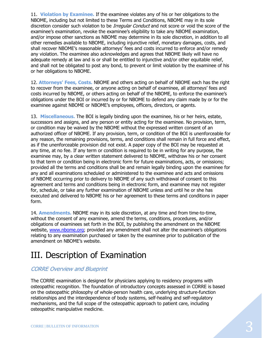11. **Violation by Examinee.** If the examinee violates any of his or her obligations to the NBOME, including but not limited to these Terms and Conditions, NBOME may in its sole discretion consider such violation to be *Irregular Conduct* and not score or void the score of the examinee's examination, revoke the examinee's eligibility to take any NBOME examination, and/or impose other sanctions as NBOME may determine in its sole discretion, in addition to all other remedies available to NBOME, including injunctive relief, monetary damages, costs, and shall recover NBOME's reasonable attorneys' fees and costs incurred to enforce and/or remedy any violation. The examinee also acknowledges and agrees that NBOME likely will have no adequate remedy at law and is or shall be entitled to injunctive and/or other equitable relief, and shall not be obligated to post any bond, to prevent or limit violation by the examinee of his or her obligations to NBOME.

12. **Attorneys' Fees, Costs.** NBOME and others acting on behalf of NBOME each has the right to recover from the examinee, or anyone acting on behalf of examinee, all attorneys' fees and costs incurred by NBOME, or others acting on behalf of the NBOME, to enforce the examinee's obligations under the BOI or incurred by or for NBOME to defend any claim made by or for the examinee against NBOME or NBOME's employees, officers, directors, or agents.

13. **Miscellaneous.** The BOI is legally binding upon the examinee, his or her heirs, estate, successors and assigns, and any person or entity acting for the examinee. No provision, term, or condition may be waived by the NBOME without the expressed written consent of an authorized officer of NBOME. If any provision, term, or condition of the BOI is unenforceable for any reason, the remaining provisions, terms, and conditions shall remain in full force and effect, as if the unenforceable provision did not exist. A paper copy of the BOI may be requested at any time, at no fee. If any term or condition is required to be in writing for any purpose, the examinee may, by a clear written statement delivered to NBOME, withdraw his or her consent to that term or condition being in electronic form for future examinations, acts, or omissions; provided all the terms and conditions shall be and remain legally binding upon the examinee for any and all examinations scheduled or administered to the examinee and acts and omissions of NBOME occurring prior to delivery to NBOME of any such withdrawal of consent to this agreement and terms and conditions being in electronic form, and examinee may not register for, schedule, or take any further examination of NBOME unless and until he or she has executed and delivered to NBOME his or her agreement to these terms and conditions in paper form.

14. **Amendments.** NBOME may in its sole discretion, at any time and from time-to-time, without the consent of any examinee, amend the terms, conditions, procedures, and/or obligations of examinees set forth in the BOI, by publishing the amendment on the NBOME website, [www.nbome.org;](http://www.nbome.org/) provided any amendment shall not alter the examinee's obligations relating to any examination purchased or taken by the examinee prior to publication of the amendment on NBOME's website.

# <span id="page-6-0"></span>III. Description of Examination

### <span id="page-6-1"></span>CORRE Overview and Blueprint

The CORRE examination is designed for physicians applying to residency programs with osteopathic recognition. The foundation of introductory concepts assessed in CORRE is based on the osteopathic philosophy of whole-person health care, underlying structure-function relationships and the interdependence of body systems, self-healing and self-regulatory mechanisms, and the full scope of the osteopathic approach to patient care, including osteopathic manipulative medicine.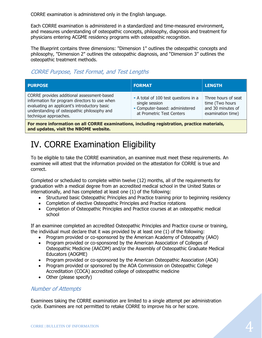CORRE examination is administered only in the English language.

Each CORRE examination is administered in a standardized and time-measured environment, and measures understanding of osteopathic concepts, philosophy, diagnosis and treatment for physicians entering ACGME residency programs with osteopathic recognition.

The Blueprint contains three dimensions: "Dimension 1" outlines the osteopathic concepts and philosophy, "Dimension 2" outlines the osteopathic diagnosis, and "Dimension 3" outlines the osteopathic treatment methods.

## <span id="page-7-0"></span>CORRE Purpose, Test Format, and Test Lengths

| <b>PURPOSE</b>                                                                                                                                                                                                      | <b>FORMAT</b>                                                                                                         | <b>LENGTH</b>                                                                    |
|---------------------------------------------------------------------------------------------------------------------------------------------------------------------------------------------------------------------|-----------------------------------------------------------------------------------------------------------------------|----------------------------------------------------------------------------------|
| CORRE provides additional assessment-based<br>information for program directors to use when<br>evaluating an applicant's introductory basic<br>understanding of osteopathic philosophy and<br>technique approaches. | • A total of 100 test questions in a<br>single session<br>• Computer-based: administered<br>at Prometric Test Centers | Three hours of seat<br>time (Two hours<br>and 30 minutes of<br>examination time) |

**For more information on all CORRE examinations, including registration, practice materials, and updates, visit the NBOME website.**

# <span id="page-7-1"></span>IV. CORRE Examination Eligibility

To be eligible to take the CORRE examination, an examinee must meet these requirements. An examinee will attest that the information provided on the attestation for CORRE is true and correct.

Completed or scheduled to complete within twelve (12) months, all of the requirements for graduation with a medical degree from an accredited medical school in the United States or internationally, and has completed at least one (1) of the following:

- Structured basic Osteopathic Principles and Practice training prior to beginning residency
- Completion of elective Osteopathic Principles and Practice rotations
- Completion of Osteopathic Principles and Practice courses at an osteopathic medical school

If an examinee completed an accredited Osteopathic Principles and Practice course or training, the individual must declare that it was provided by at least one (1) of the following:

- Program provided or co-sponsored by the American Academy of Osteopathy (AAO)
- Program provided or co-sponsored by the American Association of Colleges of Osteopathic Medicine (AACOM) and/or the Assembly of Osteopathic Graduate Medical Educators (AOGME)
- Program provided or co-sponsored by the American Osteopathic Association (AOA)
- Program provided or sponsored by the AOA Commission on Osteopathic College Accreditation (COCA) accredited college of osteopathic medicine
- Other (please specify)

### <span id="page-7-2"></span>Number of Attempts

Examinees taking the CORRE examination are limited to a single attempt per administration cycle. Examinees are not permitted to retake CORRE to improve his or her score.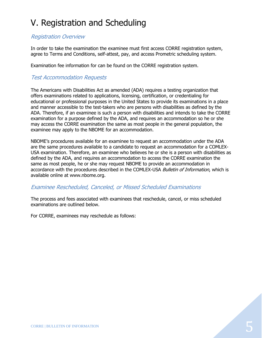# <span id="page-8-0"></span>V. Registration and Scheduling

### <span id="page-8-1"></span>Registration Overview

In order to take the examination the examinee must first access CORRE registration system, agree to Terms and Conditions, self-attest, pay, and access Prometric scheduling system.

Examination fee information for can be found on the CORRE registration system.

### <span id="page-8-2"></span>Test Accommodation Requests

The Americans with Disabilities Act as amended (ADA) requires a testing organization that offers examinations related to applications, licensing, certification, or credentialing for educational or professional purposes in the United States to provide its examinations in a place and manner accessible to the test-takers who are persons with disabilities as defined by the ADA. Therefore, if an examinee is such a person with disabilities and intends to take the CORRE examination for a purpose defined by the ADA, and requires an accommodation so he or she may access the CORRE examination the same as most people in the general population, the examinee may apply to the NBOME for an accommodation.

NBOME's procedures available for an examinee to request an accommodation under the ADA are the same procedures available to a candidate to request an accommodation for a COMLEX-USA examination. Therefore, an examinee who believes he or she is a person with disabilities as defined by the ADA, and requires an accommodation to access the CORRE examination the same as most people, he or she may request NBOME to provide an accommodation in accordance with the procedures described in the COMLEX-USA Bulletin of Information, which is available online at www.nbome.org.

#### <span id="page-8-3"></span>Examinee Rescheduled, Canceled, or Missed Scheduled Examinations

The process and fees associated with examinees that reschedule, cancel, or miss scheduled examinations are outlined below.

For CORRE, examinees may reschedule as follows: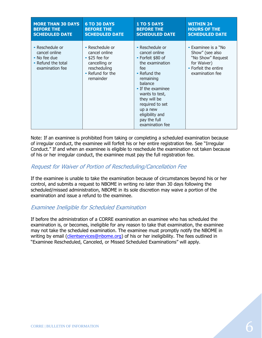| <b>MORE THAN 30 DAYS</b>                                                                  | <b>6 TO 30 DAYS</b>                                                                                                        | <b>1 TO 5 DAYS</b>                                                                                                                                                                                                                                                  | <b>WITHIN 24</b>                                                                                                                 |
|-------------------------------------------------------------------------------------------|----------------------------------------------------------------------------------------------------------------------------|---------------------------------------------------------------------------------------------------------------------------------------------------------------------------------------------------------------------------------------------------------------------|----------------------------------------------------------------------------------------------------------------------------------|
| <b>BEFORE THE</b>                                                                         | <b>BEFORE THE</b>                                                                                                          | <b>BEFORE THE</b>                                                                                                                                                                                                                                                   | <b>HOURS OF THE</b>                                                                                                              |
| <b>SCHEDULED DATE</b>                                                                     | <b>SCHEDULED DATE</b>                                                                                                      | <b>SCHEDULED DATE</b>                                                                                                                                                                                                                                               | <b>SCHEDULED DATE</b>                                                                                                            |
| • Reschedule or<br>cancel online<br>• No fee due<br>• Refund the total<br>examination fee | • Reschedule or<br>cancel online<br>$\cdot$ \$25 fee for<br>cancelling or<br>rescheduling<br>• Refund for the<br>remainder | • Reschedule or<br>cancel online<br>• Forfeit \$80 of<br>the examination<br>fee<br>• Refund the<br>remaining<br>balance<br>• If the examinee<br>wants to test,<br>they will be<br>required to set<br>up a new<br>eligibility and<br>pay the full<br>examination fee | $\bullet$ Examinee is a $"$ No<br>Show" (see also<br>"No Show" Request<br>for Waiver)<br>• Forfeit the entire<br>examination fee |

Note: If an examinee is prohibited from taking or completing a scheduled examination because of irregular conduct, the examinee will forfeit his or her entire registration fee. See "Irregular Conduct." If and when an examinee is eligible to reschedule the examination not taken because of his or her irregular conduct, the examinee must pay the full registration fee.

#### <span id="page-9-0"></span>Request for Waiver of Portion of Rescheduling/Cancellation Fee

If the examinee is unable to take the examination because of circumstances beyond his or her control, and submits a request to NBOME in writing no later than 30 days following the scheduled/missed administration, NBOME in its sole discretion may waive a portion of the examination and issue a refund to the examinee.

#### <span id="page-9-1"></span>Examinee Ineligible for Scheduled Examination

If before the administration of a CORRE examination an examinee who has scheduled the examination is, or becomes, ineligible for any reason to take that examination, the examinee may not take the scheduled examination. The examinee must promptly notify the NBOME in writing by email [\(clientservices@nbome.org\)](mailto:clientservices@nbome.org) of his or her ineligibility. The fees outlined in "Examinee Rescheduled, Canceled, or Missed Scheduled Examinations" will apply.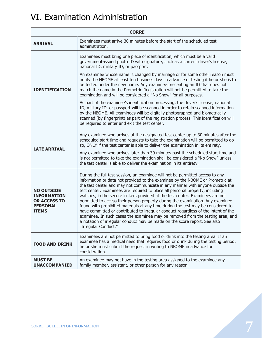# <span id="page-10-0"></span>VI. Examination Administration

| <b>CORRE</b>                                                                                      |                                                                                                                                                                                                                                                                                                                                                                                                                                                                                                                                                                                                                                                                                                                                                                                                                                                                      |
|---------------------------------------------------------------------------------------------------|----------------------------------------------------------------------------------------------------------------------------------------------------------------------------------------------------------------------------------------------------------------------------------------------------------------------------------------------------------------------------------------------------------------------------------------------------------------------------------------------------------------------------------------------------------------------------------------------------------------------------------------------------------------------------------------------------------------------------------------------------------------------------------------------------------------------------------------------------------------------|
| <b>ARRIVAL</b>                                                                                    | Examinees must arrive 30 minutes before the start of the scheduled test<br>administration.                                                                                                                                                                                                                                                                                                                                                                                                                                                                                                                                                                                                                                                                                                                                                                           |
| <b>IDENTIFICATION</b>                                                                             | Examinees must bring one piece of identification, which must be a valid<br>government-issued photo ID with signature, such as a current driver's license,<br>national ID, military ID, or passport.                                                                                                                                                                                                                                                                                                                                                                                                                                                                                                                                                                                                                                                                  |
|                                                                                                   | An examinee whose name is changed by marriage or for some other reason must<br>notify the NBOME at least ten business days in advance of testing if he or she is to<br>be tested under the new name. Any examinee presenting an ID that does not<br>match the name in the Prometric Registration will not be permitted to take the<br>examination and will be considered a "No Show" for all purposes.                                                                                                                                                                                                                                                                                                                                                                                                                                                               |
|                                                                                                   | As part of the examinee's identification processing, the driver's license, national<br>ID, military ID, or passport will be scanned in order to retain scanned information<br>by the NBOME. All examinees will be digitally photographed and biometrically<br>scanned (by fingerprint) as part of the registration process. This identification will<br>be required to enter and exit the test center.                                                                                                                                                                                                                                                                                                                                                                                                                                                               |
| <b>LATE ARRIVAL</b>                                                                               | Any examinee who arrives at the designated test center up to 30 minutes after the<br>scheduled start time and requests to take the examination will be permitted to do<br>so, ONLY if the test center is able to deliver the examination in its entirety.                                                                                                                                                                                                                                                                                                                                                                                                                                                                                                                                                                                                            |
|                                                                                                   | Any examinee who arrives later than 30 minutes past the scheduled start time and<br>is not permitted to take the examination shall be considered a "No Show" unless<br>the test center is able to deliver the examination in its entirety.                                                                                                                                                                                                                                                                                                                                                                                                                                                                                                                                                                                                                           |
| <b>NO OUTSIDE</b><br><b>INFORMATION</b><br><b>OR ACCESS TO</b><br><b>PERSONAL</b><br><b>ITEMS</b> | During the full test session, an examinee will not be permitted access to any<br>information or data not provided to the examinee by the NBOME or Prometric at<br>the test center and may not communicate in any manner with anyone outside the<br>test center. Examinees are required to place all personal property, including<br>watches, in the secure lockers provided at the test center. Examinees are not<br>permitted to access their person property during the examination. Any examinee<br>found with prohibited materials at any time during the test may be considered to<br>have committed or contributed to irregular conduct regardless of the intent of the<br>examinee. In such cases the examinee may be removed from the testing area, and<br>a notation of irregular conduct may be made on the score report. See also<br>"Irregular Conduct." |
| <b>FOOD AND DRINK</b>                                                                             | Examinees are not permitted to bring food or drink into the testing area. If an<br>examinee has a medical need that requires food or drink during the testing period,<br>he or she must submit the request in writing to NBOME in advance for<br>consideration.                                                                                                                                                                                                                                                                                                                                                                                                                                                                                                                                                                                                      |
| <b>MUST BE</b><br><b>UNACCOMPANIED</b>                                                            | An examinee may not have in the testing area assigned to the examinee any<br>family member, assistant, or other person for any reason.                                                                                                                                                                                                                                                                                                                                                                                                                                                                                                                                                                                                                                                                                                                               |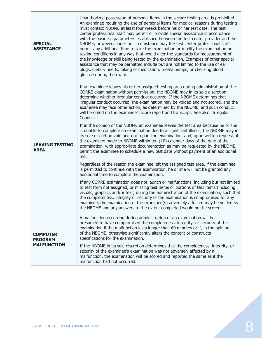| <b>SPECIAL</b><br><b>ASSISTANCE</b>                     | Unauthorized possession of personal items in the secure testing area is prohibited.<br>An examinee requiring the use of personal items for medical reasons during testing<br>must contact NBOME at least four weeks before his or her test date. The test<br>center professional staff may permit or provide special assistance in accordance<br>with the business parameters established between the test center provider and the<br>NBOME; however, under no circumstance may the test center professional staff<br>permit any additional time to take the examination or modify the examination or<br>testing conditions in any way that would alter the standards for measurement of<br>the knowledge or skill being tested by the examination. Examples of other special<br>assistance that may be permitted include but are not limited to the use of ear<br>plugs, dietary needs, taking of medication, breast pumps, or checking blood<br>glucose during the exam.                                                                             |
|---------------------------------------------------------|--------------------------------------------------------------------------------------------------------------------------------------------------------------------------------------------------------------------------------------------------------------------------------------------------------------------------------------------------------------------------------------------------------------------------------------------------------------------------------------------------------------------------------------------------------------------------------------------------------------------------------------------------------------------------------------------------------------------------------------------------------------------------------------------------------------------------------------------------------------------------------------------------------------------------------------------------------------------------------------------------------------------------------------------------------|
| <b>LEAVING TESTING</b><br><b>AREA</b>                   | If an examinee leaves his or her assigned testing area during administration of the<br>CORRE examination without permission, the NBOME may in its sole discretion<br>determine whether irregular conduct occurred. If the NBOME determines that<br>irregular conduct occurred, the examination may be voided and not scored, and the<br>examinee may face other action, as determined by the NBOME, and such conduct<br>will be noted on the examinee's score report and transcript. See also "Irregular<br>Conduct."<br>If in the opinion of the NBOME an examinee leaves the test area because he or she<br>is unable to complete an examination due to a significant illness, the NBOME may in<br>its sole discretion void and not report the examination, and, upon written request of<br>the examinee made to NBOME within ten (10) calendar days of the date of the<br>examination, with appropriate documentation as may be requested by the NBOME,<br>permit the examinee to schedule a new test date without payment of an additional<br>fee. |
|                                                         | Regardless of the reason the examinee left the assigned test area, if the examinee<br>is permitted to continue with the examination, he or she will not be granted any<br>additional time to complete the examination.                                                                                                                                                                                                                                                                                                                                                                                                                                                                                                                                                                                                                                                                                                                                                                                                                                 |
|                                                         | If any CORRE examination does not launch or malfunctions, including but not limited<br>to test form not assigned, or missing test items or portions of test items (including<br>visuals, graphics and/or text) during the administration of the examination, such that<br>the completeness, integrity or security of the examination is compromised for any<br>examinee, the examination of the examinee(s) adversely affected may be voided by<br>the NBOME and any answers to the extent completed would not be scored.                                                                                                                                                                                                                                                                                                                                                                                                                                                                                                                              |
| <b>COMPUTER</b><br><b>PROGRAM</b><br><b>MALFUNCTION</b> | A malfunction occurring during administration of an examination will be<br>presumed to have compromised the completeness, integrity, or security of the<br>examination if the malfunction lasts longer than 60 minutes or if, in the opinion<br>of the NBOME, otherwise significantly alters the content or constructs<br>specifications for the examination.                                                                                                                                                                                                                                                                                                                                                                                                                                                                                                                                                                                                                                                                                          |
|                                                         | If the NBOME in its sole discretion determines that the completeness, integrity, or<br>security of the examinee's examination was not adversely affected by a<br>malfunction, the examination will be scored and reported the same as if the<br>malfunction had not occurred.                                                                                                                                                                                                                                                                                                                                                                                                                                                                                                                                                                                                                                                                                                                                                                          |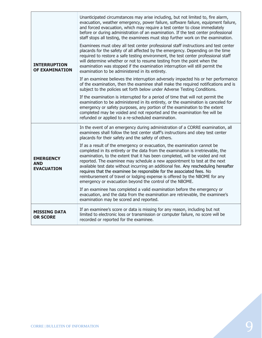| <b>INTERRUPTION</b><br><b>OF EXAMINATION</b>        | Unanticipated circumstances may arise including, but not limited to, fire alarm,<br>evacuation, weather emergency, power failure, software failure, equipment failure,<br>and forced evacuation, which may require a test center to close immediately<br>before or during administration of an examination. If the test center professional<br>staff stops all testing, the examinees must stop further work on the examination.<br>Examinees must obey all test center professional staff instructions and test center<br>placards for the safety of all affected by the emergency. Depending on the time<br>required to restore a safe testing environment, the test center professional staff<br>will determine whether or not to resume testing from the point when the<br>examination was stopped if the examination interruption will still permit the<br>examination to be administered in its entirety. |
|-----------------------------------------------------|-----------------------------------------------------------------------------------------------------------------------------------------------------------------------------------------------------------------------------------------------------------------------------------------------------------------------------------------------------------------------------------------------------------------------------------------------------------------------------------------------------------------------------------------------------------------------------------------------------------------------------------------------------------------------------------------------------------------------------------------------------------------------------------------------------------------------------------------------------------------------------------------------------------------|
|                                                     | If an examinee believes the interruption adversely impacted his or her performance<br>of the examination, then the examinee shall make the required notifications and is<br>subject to the policies set forth below under Adverse Testing Conditions.                                                                                                                                                                                                                                                                                                                                                                                                                                                                                                                                                                                                                                                           |
|                                                     | If the examination is interrupted for a period of time that will not permit the<br>examination to be administered in its entirety, or the examination is canceled for<br>emergency or safety purposes, any portion of the examination to the extent<br>completed may be voided and not reported and the examination fee will be<br>refunded or applied to a re-scheduled examination.                                                                                                                                                                                                                                                                                                                                                                                                                                                                                                                           |
| <b>EMERGENCY</b><br><b>AND</b><br><b>EVACUATION</b> | In the event of an emergency during administration of a CORRE examination, all<br>examinees shall follow the test center staff's instructions and obey test center<br>placards for their safety and the safety of others.                                                                                                                                                                                                                                                                                                                                                                                                                                                                                                                                                                                                                                                                                       |
|                                                     | If as a result of the emergency or evacuation, the examination cannot be<br>completed in its entirety or the data from the examination is irretrievable, the<br>examination, to the extent that it has been completed, will be voided and not<br>reported. The examinee may schedule a new appointment to test at the next<br>available test date without incurring an additional fee. Any rescheduling hereafter<br>requires that the examinee be responsible for the associated fees. No<br>reimbursement of travel or lodging expense is offered by the NBOME for any<br>emergency or evacuation beyond the control of the NBOME.                                                                                                                                                                                                                                                                            |
|                                                     | If an examinee has completed a valid examination before the emergency or<br>evacuation, and the data from the examination are retrievable, the examinee's<br>examination may be scored and reported.                                                                                                                                                                                                                                                                                                                                                                                                                                                                                                                                                                                                                                                                                                            |
| <b>MISSING DATA</b><br><b>OR SCORE</b>              | If an examinee's score or data is missing for any reason, including but not<br>limited to electronic loss or transmission or computer failure, no score will be<br>recorded or reported for the examinee.                                                                                                                                                                                                                                                                                                                                                                                                                                                                                                                                                                                                                                                                                                       |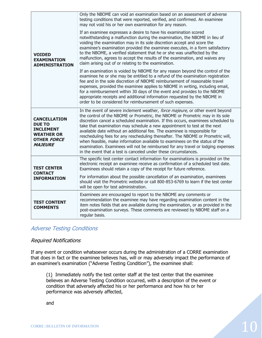| <b>VOIDED</b><br><b>EXAMINATION</b><br><b>ADMINISTRATION</b>                                                          | Only the NBOME can void an examination based on an assessment of adverse<br>testing conditions that were reported, verified, and confirmed. An examinee<br>may not void his or her own examination for any reason.                                                                                                                                                                                                                                                                                                                                                                                                                                                                                                                     |
|-----------------------------------------------------------------------------------------------------------------------|----------------------------------------------------------------------------------------------------------------------------------------------------------------------------------------------------------------------------------------------------------------------------------------------------------------------------------------------------------------------------------------------------------------------------------------------------------------------------------------------------------------------------------------------------------------------------------------------------------------------------------------------------------------------------------------------------------------------------------------|
|                                                                                                                       | If an examinee expresses a desire to have his examination scored<br>notwithstanding a malfunction during the examination, the NBOME in lieu of<br>voiding the examination may in its sole discretion accept and score the<br>examinee's examination provided the examinee executes, in a form satisfactory<br>to the NBOME, a verified statement that he or she was unaffected by the<br>malfunction, agrees to accept the results of the examination, and waives any<br>claim arising out of or relating to the examination.                                                                                                                                                                                                          |
|                                                                                                                       | If an examination is voided by NBOME for any reason beyond the control of the<br>examinee he or she may be entitled to a refund of the examination registration<br>fee and in the sole discretion of NBOME reimbursement of reasonable travel<br>expenses, provided the examinee applies to NBOME in writing, including email,<br>for a reimbursement within 30 days of the event and provides to the NBOME<br>appropriate receipts and additional information requested by the NBOME in<br>order to be considered for reimbursement of such expenses.                                                                                                                                                                                 |
| <b>CANCELLATION</b><br><b>DUE TO</b><br><b>INCLEMENT</b><br><b>WEATHER OR</b><br><b>OTHER FORCE</b><br><b>MAJEURE</b> | In the event of severe inclement weather, force majeure, or other event beyond<br>the control of the NBOME or Prometric, the NBOME or Prometric may in its sole<br>discretion cancel a scheduled examination. If this occurs, examinees scheduled to<br>take that examination may schedule a new appointment to test at the next<br>available date without an additional fee. The examinee is responsible for<br>rescheduling fees for any rescheduling thereafter. The NBOME or Prometric will,<br>when feasible, make information available to examinees on the status of the<br>examination. Examinees will not be reimbursed for any travel or lodging expenses<br>in the event that a test is canceled under these circumstances. |
| <b>TEST CENTER</b><br><b>CONTACT</b><br><b>INFORMATION</b>                                                            | The specific test center contact information for examinations is provided on the<br>electronic receipt an examinee receive as confirmation of a scheduled test date.<br>Examinees should retain a copy of the receipt for future reference.                                                                                                                                                                                                                                                                                                                                                                                                                                                                                            |
|                                                                                                                       | For information about the possible cancellation of an examination, examinees<br>should visit the Prometric website or call 800-853-6769 to learn if the test center<br>will be open for test administration.                                                                                                                                                                                                                                                                                                                                                                                                                                                                                                                           |
| <b>TEST CONTENT</b><br><b>COMMENTS</b>                                                                                | Examinees are encouraged to report to the NBOME any comments or<br>recommendation the examinee may have regarding examination content in the<br>item notes fields that are available during the examination, or as provided in the<br>post-examination surveys. These comments are reviewed by NBOME staff on a<br>regular basis.                                                                                                                                                                                                                                                                                                                                                                                                      |

### <span id="page-13-0"></span>Adverse Testing Conditions

#### Required Notifications

If any event or condition whatsoever occurs during the administration of a CORRE examination that does in fact or the examinee believes has, will or may adversely impact the performance of an examinee's examination ("Adverse Testing Condition"), the examinee shall:

(1) Immediately notify the test center staff at the test center that the examinee believes an Adverse Testing Condition occurred, with a description of the event or condition that adversely affected his or her performance and how his or her performance was adversely affected,

and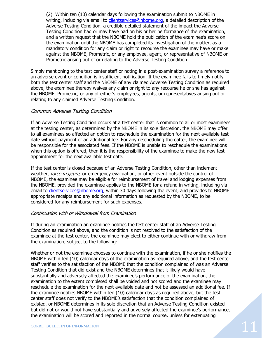(2) Within ten (10) calendar days following the examination submit to NBOME in writing, including via email to [clientservices@nbome.org,](mailto:clientservices@nbome.org) a detailed description of the Adverse Testing Condition, a credible detailed statement of the impact the Adverse Testing Condition had or may have had on his or her performance of the examination, and a written request that the NBOME hold the publication of the examinee's score on the examination until the NBOME has completed its investigation of the matter, as a mandatory condition for any claim or right to recourse the examinee may have or make against the NBOME, Prometric, or any employee, agent, or representative of NBOME or Prometric arising out of or relating to the Adverse Testing Condition.

Simply mentioning to the test center staff or noting in a post-examination survey a reference to an adverse event or condition is insufficient notification. If the examinee fails to timely notify both the test center staff and the NBOME of any claimed Adverse Testing Condition as required above, the examinee thereby waives any claim or right to any recourse he or she has against the NBOME, Prometric, or any of either's employees, agents, or representatives arising out or relating to any claimed Adverse Testing Condition.

#### Common Adverse Testing Condition

If an Adverse Testing Condition occurs at a test center that is common to all or most examinees at the testing center, as determined by the NBOME in its sole discretion, the NBOME may offer to all examinees so affected an option to reschedule the examination for the next available test date without payment of an additional fee. For any rescheduling thereafter, the examinee will be responsible for the associated fees. If the NBOME is unable to reschedule the examinations when this option is offered, then it is the responsibility of the examinee to make the new test appointment for the next available test date.

If the test center is closed because of an Adverse Testing Condition, other than inclement weather, force majeure, or emergency evacuation, or other event outside the control of NBOME, the examinee may be eligible for reimbursement of travel and lodging expenses from the NBOME, provided the examinee applies to the NBOME for a refund in writing, including via email to [clientservices@nbome.org,](mailto:clientservices@nbome.org) within 30 days following the event, and provides to NBOME appropriate receipts and any additional information as requested by the NBOME, to be considered for any reimbursement for such expenses.

#### Continuation with or Withdrawal from Examination

If during an examination an examinee notifies the test center staff of an Adverse Testing Condition as required above, and the condition is not resolved to the satisfaction of the examinee at the test center, the examinee may elect to either continue with or withdraw from the examination, subject to the following:

Whether or not the examinee chooses to continue with the examination, if he or she notifies the NBOME within ten (10) calendar days of the examination as required above, and the test center staff verifies to the satisfaction of the NBOME that the condition complained of was an Adverse Testing Condition that did exist and the NBOME determines that it likely would have substantially and adversely affected the examinee's performance of the examination, the examination to the extent completed shall be voided and not scored and the examinee may reschedule the examination for the next available date and not be assessed an additional fee. If the examinee notifies NBOME within ten (10) calendar days as required above, but the test center staff does not verify to the NBOME's satisfaction that the condition complained of existed, or NBOME determines in its sole discretion that an Adverse Testing Condition existed but did not or would not have substantially and adversely affected the examinee's performance, the examination will be scored and reported in the normal course, unless for extenuating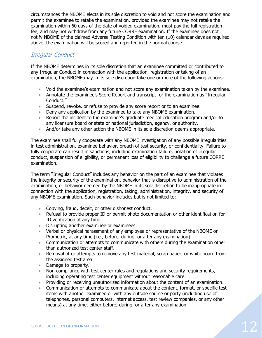circumstances the NBOME elects in its sole discretion to void and not score the examination and permit the examinee to retake the examination, provided the examinee may not retake the examination within 60 days of the date of voided examination, must pay the full registration fee, and may not withdraw from any future CORRE examination. If the examinee does not notify NBOME of the claimed Adverse Testing Condition with ten (10) calendar days as required above, the examination will be scored and reported in the normal course.

### <span id="page-15-0"></span>Irregular Conduct

If the NBOME determines in its sole discretion that an examinee committed or contributed to any Irregular Conduct in connection with the application, registration or taking of an examination, the NBOME may in its sole discretion take one or more of the following actions:

- Void the examinee's examination and not score any examination taken by the examinee.
- Annotate the examinee's Score Report and transcript for the examination as "Irregular Conduct."
- Suspend, revoke, or refuse to provide any score report or to an examinee.
- Deny any application by the examinee to take any NBOME examination.
- Report the incident to the examinee's graduate medical education program and/or to any licensure board or state or national jurisdiction, agency, or authority.
- And/or take any other action the NBOME in its sole discretion deems appropriate.

The examinee shall fully cooperate with any NBOME investigation of any possible irregularities in test administration, examinee behavior, breach of test security, or confidentiality. Failure to fully cooperate can result in sanctions, including examination failure, notation of irregular conduct, suspension of eligibility, or permanent loss of eligibility to challenge a future CORRE examination.

The term "Irregular Conduct" includes any behavior on the part of an examinee that violates the integrity or security of the examination, behavior that is disruptive to administration of the examination, or behavior deemed by the NBOME in its sole discretion to be inappropriate in connection with the application, registration, taking, administration, integrity, and security of any NBOME examination. Such behavior includes but is not limited to:

- Copying, fraud, deceit, or other dishonest conduct.
- Refusal to provide proper ID or permit photo documentation or other identification for ID verification at any time.
- **•** Disrupting another examinee or examinees.
- Verbal or physical harassment of any employee or representative of the NBOME or Prometric, at any time (i.e., before, during, or after any examination).
- Communication or attempts to communicate with others during the examination other than authorized test center staff.
- Removal of or attempts to remove any test material, scrap paper, or white board from the assigned test area.
- Damage to property.
- Non-compliance with test center rules and regulations and security requirements, including operating test center equipment without reasonable care.
- Providing or receiving unauthorized information about the content of an examination.
- Communication or attempts to communicate about the content, format, or specific test items with another examinee or with any outside source or party (including use of telephones, personal computers, internet access, test review companies, or any other means) at any time, either before, during, or after any examination.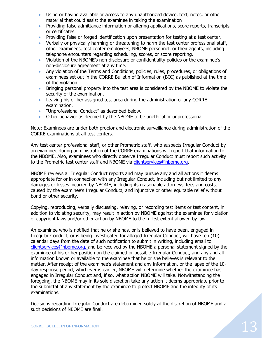- Using or having available or access to any unauthorized device, text, notes, or other material that could assist the examinee in taking the examination
- Providing false admittance information or altering applications, score reports, transcripts, or certificates.
- Providing false or forged identification upon presentation for testing at a test center.
- Verbally or physically harming or threatening to harm the test center professional staff, other examinees, test center employees, NBOME personnel, or their agents, including telephone encounters regarding scheduling, scores, or score reporting.
- Violation of the NBOME's non-disclosure or confidentiality policies or the examinee's non-disclosure agreement at any time.
- Any violation of the Terms and Conditions, policies, rules, procedures, or obligations of examinees set out in the CORRE Bulletin of Information (BOI) as published at the time of the violation.
- **Bringing personal property into the test area is considered by the NBOME to violate the** security of the examination.
- Leaving his or her assigned test area during the administration of any CORRE examination.
- . "Unprofessional Conduct" as described below.
- Other behavior as deemed by the NBOME to be unethical or unprofessional.

Note: Examinees are under both proctor and electronic surveillance during administration of the CORRE examinations at all test centers.

Any test center professional staff, or other Prometric staff, who suspects Irregular Conduct by an examinee during administration of the CORRE examinations will report that information to the NBOME. Also, examinees who directly observe Irregular Conduct must report such activity to the Prometric test center staff and NBOME via [clientservices@nbome.org.](mailto:clientservices@nbome.org)

NBOME reviews all Irregular Conduct reports and may pursue any and all actions it deems appropriate for or in connection with any Irregular Conduct, including but not limited to any damages or losses incurred by NBOME, including its reasonable attorneys' fees and costs, caused by the examinee's Irregular Conduct, and injunctive or other equitable relief without bond or other security.

Copying, reproducing, verbally discussing, relaying, or recording test items or test content, in addition to violating security, may result in action by NBOME against the examinee for violation of copyright laws and/or other action by NBOME to the fullest extent allowed by law.

An examinee who is notified that he or she has, or is believed to have been, engaged in Irregular Conduct, or is being investigated for alleged Irregular Conduct, will have ten (10) calendar days from the date of such notification to submit in writing, including email to [clientservices@nbome.org,](mailto:clientservices@nbome.org) and be received by the NBOME a personal statement signed by the examinee of his or her position on the claimed or possible Irregular Conduct, and any and all information known or available to the examinee that he or she believes is relevant to the matter. After receipt of the examinee's statement and any information, or the lapse of the 10 day response period, whichever is earlier, NBOME will determine whether the examinee has engaged in Irregular Conduct and, if so, what action NBOME will take. Notwithstanding the foregoing, the NBOME may in its sole discretion take any action it deems appropriate prior to the submittal of any statement by the examinee to protect NBOME and the integrity of its examinations.

Decisions regarding Irregular Conduct are determined solely at the discretion of NBOME and all such decisions of NBOME are final.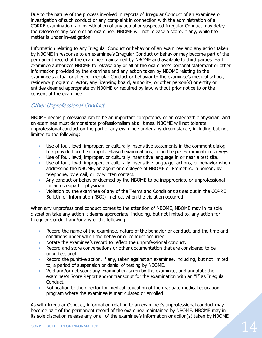Due to the nature of the process involved in reports of Irregular Conduct of an examinee or investigation of such conduct or any complaint in connection with the administration of a CORRE examination, an investigation of any actual or suspected Irregular Conduct may delay the release of any score of an examinee. NBOME will not release a score, if any, while the matter is under investigation.

Information relating to any Irregular Conduct or behavior of an examinee and any action taken by NBOME in response to an examinee's Irregular Conduct or behavior may become part of the permanent record of the examinee maintained by NBOME and available to third parties. Each examinee authorizes NBOME to release any or all of the examinee's personal statement or other information provided by the examinee and any action taken by NBOME relating to the examinee's actual or alleged Irregular Conduct or behavior to the examinee's medical school, residency program director, any licensing board, authority, or other person(s) or entity or entities deemed appropriate by NBOME or required by law, without prior notice to or the consent of the examinee.

### <span id="page-17-0"></span>Other Unprofessional Conduct

NBOME deems professionalism to be an important competency of an osteopathic physician, and an examinee must demonstrate professionalism at all times. NBOME will not tolerate unprofessional conduct on the part of any examinee under any circumstance, including but not limited to the following:

- Use of foul, lewd, improper, or culturally insensitive statements in the comment dialog box provided on the computer-based examinations, or on the post-examination surveys.
- Use of foul, lewd, improper, or culturally insensitive language in or near a test site.
- Use of foul, lewd, improper, or culturally insensitive language, actions, or behavior when addressing the NBOME, an agent or employee of NBOME or Prometric, in person, by telephone, by email, or by written contact.
- Any conduct or behavior deemed by the NBOME to be inappropriate or unprofessional for an osteopathic physician.
- Violation by the examinee of any of the Terms and Conditions as set out in the CORRE Bulletin of Information (BOI) in effect when the violation occurred.

When any unprofessional conduct comes to the attention of NBOME, NBOME may in its sole discretion take any action it deems appropriate, including, but not limited to, any action for Irregular Conduct and/or any of the following:

- Record the name of the examinee, nature of the behavior or conduct, and the time and conditions under which the behavior or conduct occurred.
- Notate the examinee's record to reflect the unprofessional conduct.
- Record and store conversations or other documentation that are considered to be unprofessional.
- Record the punitive action, if any, taken against an examinee, including, but not limited to, a period of suspension or denial of testing by NBOME.
- Void and/or not score any examination taken by the examinee, and annotate the examinee's Score Report and/or transcript for the examination with an "I" as Irregular Conduct.
- Notification to the director for medical education of the graduate medical education program where the examinee is matriculated or enrolled.

As with Irregular Conduct, information relating to an examinee's unprofessional conduct may become part of the permanent record of the examinee maintained by NBOME. NBOME may in its sole discretion release any or all of the examinee's information or action(s) taken by NBOME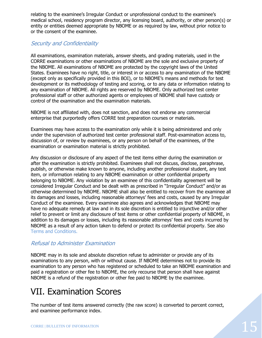relating to the examinee's Irregular Conduct or unprofessional conduct to the examinee's medical school, residency program director, any licensing board, authority, or other person(s) or entity or entities deemed appropriate by NBOME or as required by law, without prior notice to or the consent of the examinee.

### <span id="page-18-0"></span>Security and Confidentiality

All examinations, examination materials, answer sheets, and grading materials, used in the CORRE examinations or other examinations of NBOME are the sole and exclusive property of the NBOME. All examinations of NBOME are protected by the copyright laws of the United States. Examinees have no right, title, or interest in or access to any examination of the NBOME (except only as specifically provided in this BOI), or to NBOME's means and methods for test development or its methodology of testing and scoring, or to any data or information relating to any examination of NBOME. All rights are reserved by NBOME. Only authorized test center professional staff or other authorized agents or employees of NBOME shall have custody or control of the examination and the examination materials.

NBOME is not affiliated with, does not sanction, and does not endorse any commercial enterprise that purportedly offers CORRE test preparation courses or materials.

Examinees may have access to the examination only while it is being administered and only under the supervision of authorized test center professional staff. Post-examination access to, discussion of, or review by examinees, or any person on behalf of the examinees, of the examination or examination material is strictly prohibited.

Any discussion or disclosure of any aspect of the test items either during the examination or after the examination is strictly prohibited. Examinees shall not discuss, disclose, paraphrase, publish, or otherwise make known to anyone, including another professional student, any test item, or information relating to any NBOME examination or other confidential property belonging to NBOME. Any violation by an examinee of this confidentiality agreement will be considered Irregular Conduct and be dealt with as prescribed in "Irregular Conduct" and/or as otherwise determined by NBOME. NBOME shall also be entitled to recover from the examinee all its damages and losses, including reasonable attorneys' fees and costs, caused by any Irregular Conduct of the examinee. Every examinee also agrees and acknowledges that NBOME may have no adequate remedy at law and in its sole discretion is entitled to injunctive and/or other relief to prevent or limit any disclosure of test items or other confidential property of NBOME, in addition to its damages or losses, including its reasonable attorneys' fees and costs incurred by NBOME as a result of any action taken to defend or protect its confidential property. See also Terms and Conditions.

### <span id="page-18-1"></span>Refusal to Administer Examination

NBOME may in its sole and absolute discretion refuse to administer or provide any of its examinations to any person, with or without cause. If NBOME determines not to provide its examination to any person who has registered or scheduled to take an NBOME examination and paid a registration or other fee to NBOME, the only recourse that person shall have against NBOME is a refund of the registration or other fee paid to NBOME by the examinee.

# <span id="page-18-2"></span>VII. Examination Scores

The number of test items answered correctly (the raw score) is converted to percent correct, and examinee performance index.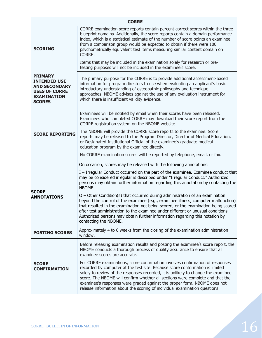| <b>CORRE</b>                                                                                                                 |                                                                                                                                                                                                                                                                                                                                                                                                                                                                                               |  |
|------------------------------------------------------------------------------------------------------------------------------|-----------------------------------------------------------------------------------------------------------------------------------------------------------------------------------------------------------------------------------------------------------------------------------------------------------------------------------------------------------------------------------------------------------------------------------------------------------------------------------------------|--|
| <b>SCORING</b>                                                                                                               | CORRE examination score reports contain percent correct scores within the three<br>blueprint domains. Additionally, the score reports contain a domain performance<br>index, which is a statistical estimate of the number of score points an examinee<br>from a comparison group would be expected to obtain if there were 100<br>psychometrically equivalent test items measuring similar content domain on<br>CORRE.                                                                       |  |
|                                                                                                                              | Items that may be included in the examination solely for research or pre-<br>testing purposes will not be included in the examinee's score.                                                                                                                                                                                                                                                                                                                                                   |  |
| <b>PRIMARY</b><br><b>INTENDED USE</b><br><b>AND SECONDARY</b><br><b>USES OF CORRE</b><br><b>EXAMINATION</b><br><b>SCORES</b> | The primary purpose for the CORRE is to provide additional assessment-based<br>information for program directors to use when evaluating an applicant's basic<br>introductory understanding of osteopathic philosophy and technique<br>approaches. NBOME advises against the use of any evaluation instrument for<br>which there is insufficient validity evidence.                                                                                                                            |  |
| <b>SCORE REPORTING</b>                                                                                                       | Examinees will be notified by email when their scores have been released.<br>Examinees who completed CORRE may download their score report from the<br>CORRE registration system on the NBOME website.                                                                                                                                                                                                                                                                                        |  |
|                                                                                                                              | The NBOME will provide the CORRE score reports to the examinee. Score<br>reports may be released to the Program Director, Director of Medical Education,<br>or Designated Institutional Official of the examinee's graduate medical<br>education program by the examinee directly.                                                                                                                                                                                                            |  |
|                                                                                                                              | No CORRE examination scores will be reported by telephone, email, or fax.                                                                                                                                                                                                                                                                                                                                                                                                                     |  |
|                                                                                                                              | On occasion, scores may be released with the following annotations:<br>I - Irregular Conduct occurred on the part of the examinee. Examinee conduct that<br>may be considered irregular is described under "Irregular Conduct." Authorized<br>persons may obtain further information regarding this annotation by contacting the<br>NBOME.                                                                                                                                                    |  |
| <b>SCORE</b><br><b>ANNOTATIONS</b>                                                                                           | O - Other Condition(s) that occurred during administration of an examination<br>beyond the control of the examinee (e.g., examinee illness, computer malfunction)<br>that resulted in the examination not being scored, or the examination being scored<br>after test administration to the examinee under different or unusual conditions.<br>Authorized persons may obtain further information regarding this notation by<br>contacting the NBOME.                                          |  |
| <b>POSTING SCORES</b>                                                                                                        | Approximately 4 to 6 weeks from the closing of the examination administration<br>window.                                                                                                                                                                                                                                                                                                                                                                                                      |  |
| <b>SCORE</b><br><b>CONFIRMATION</b>                                                                                          | Before releasing examination results and posting the examinee's score report, the<br>NBOME conducts a thorough process of quality assurance to ensure that all<br>examinee scores are accurate.                                                                                                                                                                                                                                                                                               |  |
|                                                                                                                              | For CORRE examinations, score confirmation involves confirmation of responses<br>recorded by computer at the test site. Because score conformation is limited<br>solely to review of the responses recorded, it is unlikely to change the examinee<br>score. The NBOME will confirm whether all sections were complete and that the<br>examinee's responses were graded against the proper form. NBOME does not<br>release information about the scoring of individual examination questions. |  |